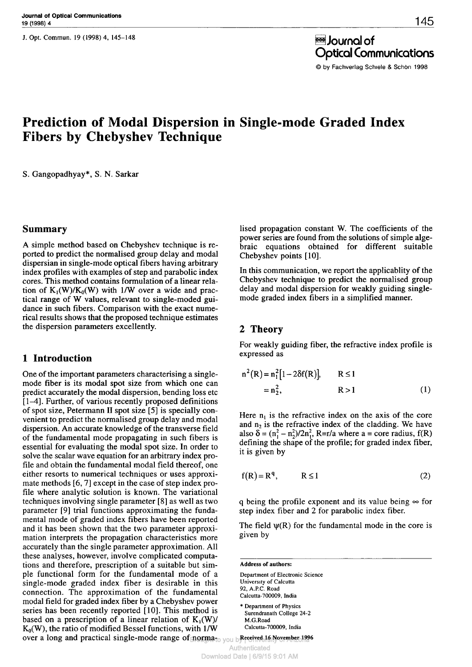J. Opt. Commun. 19 (1998) 4, 145-148

è Journal of Optical Communications

© by Fachverlag Schiele & Schön 1998

# **Prediction of Modal Dispersion in Single-mode Graded Index Fibers by Chebyshev Technique**

S. Gangopadhyay\*, S. N. Sarkar

#### **Summary**

A simple method based on Chebyshev technique is reported to predict the normalised group delay and modal dispersian in single-mode optical fibers having arbitrary index profiles with examples of step and parabolic index cores. This method contains formulation of a linear relation of  $K_1(W)/K_0(W)$  with 1/W over a wide and practical range of W values, relevant to single-moded guidance in such fibers. Comparison with the exact numerical results shows that the proposed technique estimates the dispersion parameters excellently.

# **1 Introduction**

One of the important parameters characterising a singlemode fiber is its modal spot size from which one can predict accurately the modal dispersion, bending loss etc [1—4]. Further, of various recently proposed definitions of spot size, Petermann II spot size [5] is specially convenient to predict the normalised group delay and modal dispersion. An accurate knowledge of the transverse field of the fundamental mode propagating in such fibers is essential for evaluating the modal spot size. In order to solve the scalar wave equation for an arbitrary index profile and obtain the fundamental modal field thereof, one either resorts to numerical techniques or uses approximate methods [6,7] except in the case of step index profile where analytic solution is known. The variational techniques involving single parameter [8] as well as two parameter [9] trial functions approximating the fundamental mode of graded index fibers have been reported and it has been shown that the two parameter approximation interprets the propagation characteristics more accurately than the single parameter approximation. All these analyses, however, involve complicated computations and therefore, prescription of a suitable but simple functional form for the fundamental mode of a single-mode graded index fiber is desirable in this connection. The approximation of the fundamental modal field for graded index fiber by a Chebyshev power series has been recently reported [10]. This method is based on a prescription of a linear relation of  $K_1(W)$ /  $K_0(W)$ , the ratio of modified Bessel functions, with 1/W

lised propagation constant W. The coefficients of the power series are found from the solutions of simple algebraic equations obtained for different suitable Chebyshev points [10].

In this communication, we report the applicablity of the Chebyshev technique to predict the normalised group delay and modal dispersion for weakly guiding singlemode graded index fibers in a simplified manner.

# **2 Theory**

For weakly guiding fiber, the refractive index profile is expressed as

$$
n^{2}(R) = n_{1}^{2}[1 - 2\delta f(R)], \qquad R \le 1
$$
  
= n\_{2}^{2}, \qquad R > 1 \qquad (1)

Here  $n_1$  is the refractive index on the axis of the core and  $n_2$  is the refractive index of the cladding. We have also  $\delta = (n^2 - n^2)/2n^2$ , R=r/a where a = core radius, f(R) defining the shape of the profile; for graded index fiber, it is given by

$$
f(R) = Rq, \t R \le 1 \t (2)
$$

q being the profile exponent and its value being *°°* for step index fiber and 2 for parabolic index fiber.

The field  $\psi(R)$  for the fundamental mode in the core is given by

**Address of authors:** Department of Electronic Science University of Calcutta 92, A.P.C. Road Calcutta-700009, India \* Department of Physics Surendranath College 24-2 M.G.Road Calcutta-700009, India

over a long and practical single-mode range of norma<sub>to you b<sup>Received</sup> 16 November 1996</sub>

Authenticated

Download Date | 6/9/15 9:01 AM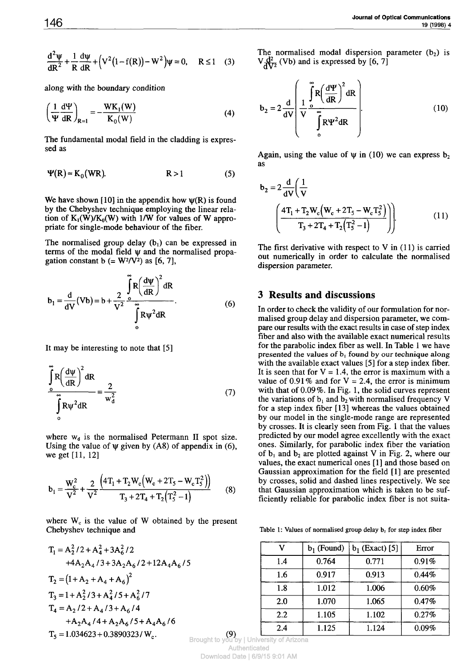$$
\frac{d^2 \psi}{dR^2} + \frac{1}{R} \frac{d\psi}{dR} + (V^2 (1 - f(R)) - W^2) \psi = 0, \quad R \le 1 \quad (3)
$$

along with the boundary condition

$$
\left(\frac{1}{\Psi}\frac{d\Psi}{dR}\right)_{R=1} = -\frac{WK_1(W)}{K_0(W)}
$$
\n(4)

The fundamental modal field in the cladding is expressed as

$$
\Psi(R) \approx K_0(WR). \tag{5}
$$

We have shown [10] in the appendix how  $\psi(R)$  is found by the Chebyshev technique employing the linear relation of  $K_1(W)/K_0(W)$  with 1/W for values of W appropriate for single-mode behaviour of the fiber.

The normalised group delay  $(b<sub>1</sub>)$  can be expressed in terms of the modal field ø and the normalised propagation constant  $b (= W^2/V^2)$  as [6, 7],

$$
b_1 = \frac{d}{dV}(Vb) = b + \frac{2}{V^2} \int_{0}^{\infty} R \left(\frac{d\psi}{dR}\right)^2 dR
$$
  

$$
\int_{0}^{\infty} R\psi^2 dR
$$
 (6)

It may be interesting to note that [5]

$$
\int_{0}^{\infty} R \left(\frac{d\psi}{dR}\right)^2 dR
$$
  

$$
\int_{0}^{\infty} R\psi^2 dR = \frac{2}{w_d^2}
$$
 (7)

where  $w_d$  is the normalised Petermann II spot size. Using the value of  $\psi$  given by (A8) of appendix in (6), we get [11, 12]

$$
b_1 = \frac{W_c^2}{V^2} + \frac{2}{V^2} \frac{\left(4T_1 + T_2 W_c (W_c + 2T_5 - W_c T_s^2)\right)}{T_3 + 2T_4 + T_2 (T_5^2 - 1)}
$$
(8)

where  $W_c$  is the value of W obtained by the present Chebyshev technique and

$$
T_1 = A_2^2 / 2 + A_4^2 + 3A_6^2 / 2
$$
  
\n+4A<sub>2</sub>A<sub>4</sub>/3 + 3A<sub>2</sub>A<sub>6</sub>/2 + 12A<sub>4</sub>A<sub>6</sub>/5  
\n
$$
T_2 = (1 + A_2 + A_4 + A_6)^2
$$
  
\n
$$
T_3 = 1 + A_2^2 / 3 + A_4^2 / 5 + A_6^2 / 7
$$
  
\n
$$
T_4 = A_2 / 2 + A_4 / 3 + A_6 / 4
$$
  
\n+ A<sub>2</sub>A<sub>4</sub>/4 + A<sub>2</sub>A<sub>6</sub>/5 + A<sub>4</sub>A<sub>6</sub>/6  
\n
$$
T_5 = 1.034623 + 0.3890323 / W_c.
$$
  
\n(9)

The normalised modal dispersion parameter  $(b_2)$  is  $V \frac{d^2}{dx^2}$  (Vb) and is expressed by [6, 7]

$$
b_2 = 2 \frac{d}{dV} \left( \frac{1}{V} \frac{\int_{o}^{\infty} R \left( \frac{dV}{dR} \right)^2 dR}{\int_{o}^{\infty} R V^2 dR} \right)
$$
 (10)

Again, using the value of  $\psi$  in (10) we can express b<sub>2</sub> as

$$
b_2 = 2 \frac{d}{dV} \left( \frac{1}{V} \left( \frac{4T_1 + T_2 W_c (W_c + 2T_5 - W_c T_5^2)}{T_3 + 2T_4 + T_2 (T_5^2 - 1)} \right) \right)
$$
(11)

The first derivative with respect to  $V$  in  $(11)$  is carried out numerically in order to calculate the normalised dispersion parameter.

## **3 Results and discussions**

In order to check the validity of our formulation for normalised group delay and dispersion parameter, we compare our results with the exact results in case of step index fiber and also with the available exact numerical results for the parabolic index fiber as well. In Table 1 we have presented the values of  $b_1$  found by our technique along with the available exact values [5] for a step index fiber. It is seen that for  $V = 1.4$ , the error is maximum with a value of 0.91% and for  $V = 2.4$ , the error is minimum with that of 0.09%. In Fig. 1, the solid curves represent the variations of  $b_1$  and  $b_2$  with normalised frequency V for a step index fiber [13] whereas the values obtained by our model in the single-mode range are represented by crosses. It is clearly seen from Fig. 1 that the values predicted by our model agree excellently with the exact ones. Similarly, for parabolic index fiber the variation of  $b_1$  and  $b_2$  are plotted against V in Fig. 2, where our values, the exact numerical ones [1] and those based on Gaussian approximation for the field [1] are presented by crosses, solid and dashed lines respectively. We see that Gaussian approximation which is taken to be sufficiently reliable for parabolic index fiber is not suita-

Table 1: Values of normalised group delay b, for step index fiber

| ۲,  | $b_1$ (Found) | $b_1$ (Exact) [5] | Error |
|-----|---------------|-------------------|-------|
| 1.4 | 0.764         | 0.771             | 0.91% |
| 1.6 | 0.917         | 0.913             | 0.44% |
| 1.8 | 1.012         | 1.006             | 0.60% |
| 2.0 | 1.070         | 1.065             | 0.47% |
| 2.2 | 1.105         | 1.102             | 0.27% |
| 2.4 | 1.125         | 1.124             | 0.09% |

Brought to you by | University of Arizona Authenticated Download Date | 6/9/15 9:01 AM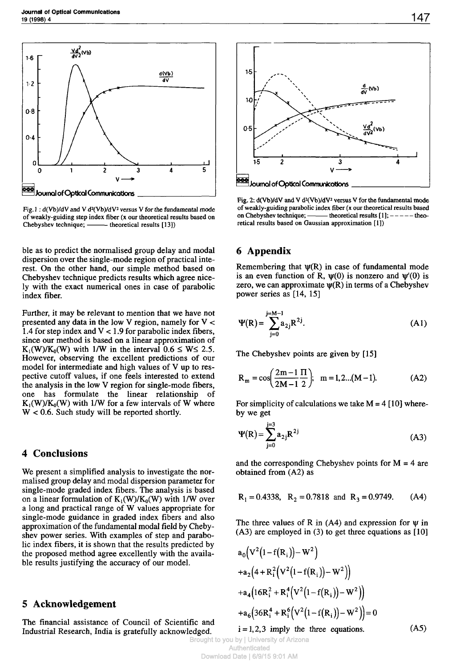

Fig.  $1 : d(Vb)/dV$  and V  $d^{2}(Vb)/dV^{2}$  versus V for the fundamental mode of weakly-guiding step index fiber ( $x$  our theoretical results based on Chebyshev technique; —— theoretical results  $[13]$ )  $-$  theoretical results [13])

ble as to predict the normalised group delay and modal dispersion over the single-mode region of practical interest. On the other hand, our simple method based on Chebyshev technique predicts results which agree nicely with the exact numerical ones in case of parabolic index fiber.

Further, it may be relevant to mention that we have not presented any data in the low V region, namely for  $V <$ 1.4 for step index and  $V < 1.9$  for parabolic index fibers, since our method is based on a linear approximation of  $K_1(W)/K_0(W)$  with 1/W in the interval  $0.6 \le W \le 2.5$ . However, observing the excellent predictions of our model for intermediate and high values of V up to respective cutoff values, if one feels interested to extend the analysis in the low V region for single-mode fibers, one has formulate the linear relationship of  $K_1(W)/K_0(W)$  with 1/W for a few intervals of W where  $W < 0.6$ . Such study will be reported shortly.

#### **4 Conclusions**

We present a simplified analysis to investigate the normalised group delay and modal dispersion parameter for single-mode graded index fibers. The analysis is based on a linear formulation of  $K_1(W)/K_0(W)$  with 1/W over a long and practical range of W values appropriate for single-mode guidance in graded index fibers and also approximation of the fundamental modal field by Chebyshev power series. With examples of step and parabolic index fibers, it is shown that the results predicted by the proposed method agree excellently with the available results justifying the accuracy of our model.

#### **5 Acknowledgement**

The financial assistance of Council of Scientific and Industrial Research, India is gratefully acknowledged.



Fig. 2: d(Vb)/dV and V d<sup>2</sup>(Vb)/dV<sup>2</sup> versus V for the fundamental mode of weakly-guiding parabolic index fiber (x our theoretical results based - theoretical results  $[1]$ ;  $---$  theoretical results based on Gaussian approximation [1])

### **6 Appendix**

Remembering that  $\psi(R)$  in case of fundamental mode is an even function of R,  $\psi(0)$  is nonzero and  $\psi'(0)$  is zero, we can approximate  $\psi(R)$  in terms of a Chebyshev power series as [14, 15]

$$
\Psi(R) = \sum_{j=0}^{j=M-1} a_{2j} R^{2j}.
$$
 (A1)

The Chebyshev points are given by [15]

$$
R_m = \cos\left(\frac{2m-1}{2M-1}\frac{\Pi}{2}\right); \quad m = 1, 2...(M-1). \tag{A2}
$$

For simplicity of calculations we take  $M = 4$  [10] whereby we get

$$
\Psi(R) = \sum_{j=0}^{j=3} a_{2j} R^{2j}
$$
 (A3)

and the corresponding Chebyshev points for  $M = 4$  are obtained from (A2) as

$$
R_1 = 0.4338
$$
,  $R_2 = 0.7818$  and  $R_3 = 0.9749$ . (A4)

The three values of R in  $(A4)$  and expression for  $\Psi$  in (A3) are employed in (3) to get three equations as [10]

$$
a_0 (V^2 (1 - f(R_i)) – W^2)
$$
  
+
$$
a_2 (4 + R_i^2 (V^2 (1 - f(R_i)) – W^2))
$$
  
+
$$
a_4 (16R_i^2 + R_i^4 (V^2 (1 - f(R_i)) – W^2))
$$
  
+
$$
a_6 (36R_i^4 + R_i^6 (V^2 (1 - f(R_i)) – W^2)) = 0
$$
  
i = 1,2,3 imply the three equations. (A5)

Brought to you by | University of Arizona Authenticated Download Date | 6/9/15 9:01 AM